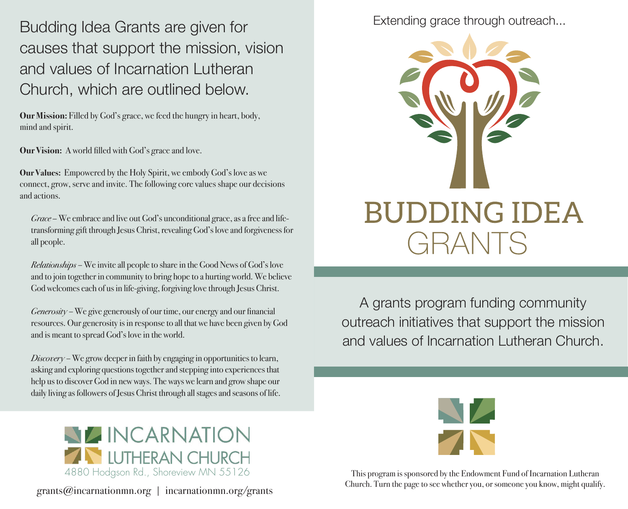Budding Idea Grants are given for causes that support the mission, vision and values of Incarnation Lutheran Church, which are outlined below.

**Our Mission:** Filled by God's grace, we feed the hungry in heart, body, mind and spirit.

**Our Vision:** A world filled with God's grace and love.

**Our Values:** Empowered by the Holy Spirit, we embody God's love as we connect, grow, serve and invite. The following core values shape our decisions and actions.

*Grace* – We embrace and live out God's unconditional grace, as a free and lifetransforming gift through Jesus Christ, revealing God's love and forgiveness for all people.

*Relationships –* We invite all people to share in the Good News of God's love and to join together in community to bring hope to a hurting world. We believe God welcomes each of us in life-giving, forgiving love through Jesus Christ.

*Generosity –* We give generously of our time, our energy and our financial resources. Our generosity is in response to all that we have been given by God and is meant to spread God's love in the world.

*Discovery –* We grow deeper in faith by engaging in opportunities to learn, asking and exploring questions together and stepping into experiences that help us to discover God in new ways. The ways we learn and grow shape our daily living as followers of Jesus Christ through all stages and seasons of life.





A grants program funding community outreach initiatives that support the mission and values of Incarnation Lutheran Church.



This program is sponsored by the Endowment Fund of Incarnation Lutheran Church. Turn the page to see whether you, or someone you know, might qualify.



 $grants@incentrationmn.org$  | incarnationmn.org/grants